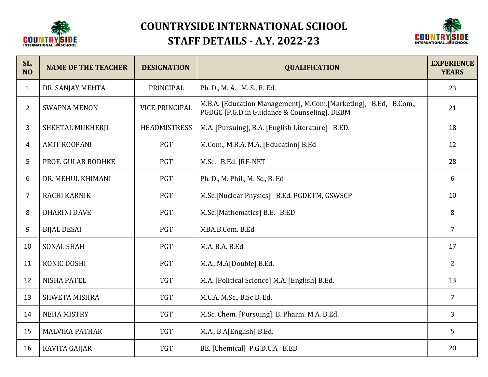

## **COUNTRYSIDE INTERNATIONAL SCHOOL STAFF DETAILS - A.Y. 2022-23**



| SL.<br>N <sub>O</sub> | <b>NAME OF THE TEACHER</b> | <b>DESIGNATION</b>    | <b>QUALIFICATION</b>                                                                                            | <b>EXPERIENCE</b><br><b>YEARS</b> |
|-----------------------|----------------------------|-----------------------|-----------------------------------------------------------------------------------------------------------------|-----------------------------------|
| $\mathbf{1}$          | DR. SANJAY MEHTA           | PRINCIPAL             | Ph. D., M. A., M. S., B. Ed.                                                                                    | 23                                |
| $\overline{2}$        | <b>SWAPNA MENON</b>        | <b>VICE PRINCIPAL</b> | M.B.A. [Education Management], M.Com.[Marketing], B.Ed, B.Com.,<br>PGDGC [P.G.D in Guidance & Counseling], DEBM | 21                                |
| $\overline{3}$        | SHEETAL MUKHERJI           | <b>HEADMISTRESS</b>   | M.A. [Pursuing], B.A. [English Literature] B.ED.                                                                | 18                                |
| 4                     | <b>AMIT ROOPANI</b>        | <b>PGT</b>            | M.Com., M.B.A. M.A. [Education] B.Ed                                                                            | 12                                |
| 5                     | PROF. GULAB BODHKE         | <b>PGT</b>            | M.Sc. B.Ed. JRF-NET                                                                                             | 28                                |
| 6                     | DR. MEHUL KHIMANI          | <b>PGT</b>            | Ph. D., M. Phil., M. Sc., B. Ed                                                                                 | 6                                 |
| $\overline{7}$        | <b>RACHI KARNIK</b>        | <b>PGT</b>            | M.Sc.[Nuclear Physics] B.Ed. PGDETM, GSWSCP                                                                     | 10                                |
| 8                     | <b>DHARINI DAVE</b>        | <b>PGT</b>            | M.Sc.[Mathematics] B.E. B.ED                                                                                    | 8                                 |
| 9                     | <b>BIJAL DESAI</b>         | <b>PGT</b>            | MBA.B.Com. B.Ed                                                                                                 | $\overline{7}$                    |
| 10                    | <b>SONAL SHAH</b>          | <b>PGT</b>            | M.A. B.A. B.Ed                                                                                                  | 17                                |
| 11                    | <b>KONIC DOSHI</b>         | <b>PGT</b>            | M.A., M.A[Double] B.Ed.                                                                                         | $\overline{2}$                    |
| 12                    | <b>NISHA PATEL</b>         | <b>TGT</b>            | M.A. [Political Science] M.A. [English] B.Ed.                                                                   | 13                                |
| 13                    | <b>SHWETA MISHRA</b>       | <b>TGT</b>            | M.C.A, M.Sc., B.Sc B. Ed.                                                                                       | $\overline{7}$                    |
| 14                    | <b>NEHA MISTRY</b>         | <b>TGT</b>            | M.Sc. Chem. [Pursuing] B. Pharm. M.A. B.Ed.                                                                     | $\overline{3}$                    |
| 15                    | <b>MALVIKA PATHAK</b>      | <b>TGT</b>            | M.A., B.A[English] B.Ed.                                                                                        | 5                                 |
| 16                    | KAVITA GAJJAR              | <b>TGT</b>            | BE. [Chemical] P.G.D.C.A B.ED                                                                                   | 20                                |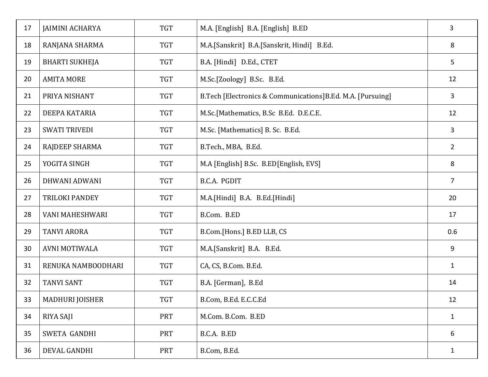| 17 | <b>JAIMINI ACHARYA</b> | <b>TGT</b> | M.A. [English] B.A. [English] B.ED                         | 3              |
|----|------------------------|------------|------------------------------------------------------------|----------------|
| 18 | RANJANA SHARMA         | <b>TGT</b> | M.A.[Sanskrit] B.A.[Sanskrit, Hindi] B.Ed.                 | 8              |
| 19 | <b>BHARTI SUKHEJA</b>  | <b>TGT</b> | B.A. [Hindi] D.Ed., CTET                                   | 5              |
| 20 | <b>AMITA MORE</b>      | <b>TGT</b> | M.Sc.[Zoology] B.Sc. B.Ed.                                 | 12             |
| 21 | PRIYA NISHANT          | <b>TGT</b> | B.Tech [Electronics & Communications]B.Ed. M.A. [Pursuing] | 3              |
| 22 | DEEPA KATARIA          | <b>TGT</b> | M.Sc.[Mathematics, B.Sc B.Ed. D.E.C.E.                     | 12             |
| 23 | <b>SWATI TRIVEDI</b>   | <b>TGT</b> | M.Sc. [Mathematics] B. Sc. B.Ed.                           | 3              |
| 24 | RAJDEEP SHARMA         | <b>TGT</b> | B.Tech., MBA, B.Ed.                                        | $\overline{2}$ |
| 25 | YOGITA SINGH           | <b>TGT</b> | M.A [English] B.Sc. B.ED[English, EVS]                     | 8              |
| 26 | DHWANI ADWANI          | <b>TGT</b> | B.C.A. PGDIT                                               | $\overline{7}$ |
| 27 | <b>TRILOKI PANDEY</b>  | <b>TGT</b> | M.A.[Hindi] B.A. B.Ed.[Hindi]                              | 20             |
| 28 | VANI MAHESHWARI        | <b>TGT</b> | B.Com. B.ED                                                | 17             |
| 29 | <b>TANVI ARORA</b>     | <b>TGT</b> | B.Com.[Hons.] B.ED LLB, CS                                 | 0.6            |
| 30 | <b>AVNI MOTIWALA</b>   | <b>TGT</b> | M.A.[Sanskrit] B.A. B.Ed.                                  | 9              |
| 31 | RENUKA NAMBOODHARI     | <b>TGT</b> | CA, CS, B.Com. B.Ed.                                       | $\mathbf{1}$   |
| 32 | <b>TANVI SANT</b>      | <b>TGT</b> | B.A. [German], B.Ed                                        | 14             |
| 33 | <b>MADHURI JOISHER</b> | <b>TGT</b> | B.Com, B.Ed. E.C.C.Ed                                      | 12             |
| 34 | RIYA SAJI              | <b>PRT</b> | M.Com. B.Com. B.ED                                         | $\mathbf{1}$   |
| 35 | <b>SWETA GANDHI</b>    | <b>PRT</b> | B.C.A. B.ED                                                | 6              |
| 36 | DEVAL GANDHI           | <b>PRT</b> | B.Com, B.Ed.                                               | $\mathbf{1}$   |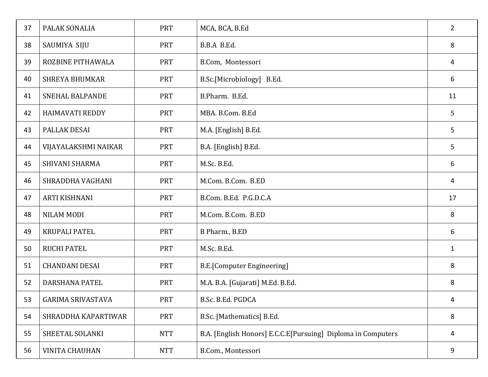| 37 | PALAK SONALIA            | <b>PRT</b> | MCA, BCA, B.Ed                                               | $\overline{2}$ |
|----|--------------------------|------------|--------------------------------------------------------------|----------------|
| 38 | SAUMIYA SIJU             | <b>PRT</b> | B.B.A B.Ed.                                                  | 8              |
| 39 | ROZBINE PITHAWALA        | <b>PRT</b> | B.Com, Montessori                                            | 4              |
| 40 | <b>SHREYA BHUMKAR</b>    | <b>PRT</b> | B.Sc.[Microbiology] B.Ed.                                    | 6              |
| 41 | <b>SNEHAL BALPANDE</b>   | <b>PRT</b> | B.Pharm. B.Ed.                                               | 11             |
| 42 | <b>HAIMAVATI REDDY</b>   | <b>PRT</b> | MBA. B.Com. B.Ed                                             | 5              |
| 43 | <b>PALLAK DESAI</b>      | <b>PRT</b> | M.A. [English] B.Ed.                                         | 5              |
| 44 | VIJAYALAKSHMI NAIKAR     | <b>PRT</b> | B.A. [English] B.Ed.                                         | 5              |
| 45 | <b>SHIVANI SHARMA</b>    | <b>PRT</b> | M.Sc. B.Ed.                                                  | 6              |
| 46 | SHRADDHA VAGHANI         | <b>PRT</b> | M.Com. B.Com. B.ED                                           | 4              |
| 47 | <b>ARTI KISHNANI</b>     | <b>PRT</b> | B.Com. B.Ed. P.G.D.C.A                                       | 17             |
| 48 | <b>NILAM MODI</b>        | <b>PRT</b> | M.Com. B.Com. B.ED                                           | 8              |
| 49 | <b>KRUPALI PATEL</b>     | <b>PRT</b> | B Pharm., B.ED                                               | 6              |
| 50 | <b>RUCHI PATEL</b>       | <b>PRT</b> | M.Sc. B.Ed.                                                  | $\mathbf{1}$   |
| 51 | <b>CHANDANI DESAI</b>    | <b>PRT</b> | <b>B.E.</b> [Computer Engineering]                           | 8              |
| 52 | <b>DARSHANA PATEL</b>    | <b>PRT</b> | M.A. B.A. [Gujarati] M.Ed. B.Ed.                             | 8              |
| 53 | <b>GARIMA SRIVASTAVA</b> | PRT        | B.Sc. B.Ed. PGDCA                                            | 4              |
| 54 | SHRADDHA KAPARTIWAR      | <b>PRT</b> | B.Sc. [Mathematics] B.Ed.                                    | 8              |
| 55 | SHEETAL SOLANKI          | <b>NTT</b> | B.A. [English Honors] E.C.C.E[Pursuing] Diploma in Computers | 4              |
| 56 | <b>VINITA CHAUHAN</b>    | <b>NTT</b> | B.Com., Montessori                                           | 9              |